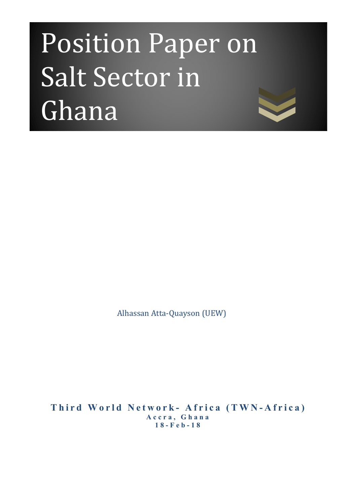# Position Paper on Salt Sector in Ghana

Alhassan Atta-Quayson (UEW)

**Third World Network- Africa (TWN-Africa) Accra, Ghana 18-Feb-18**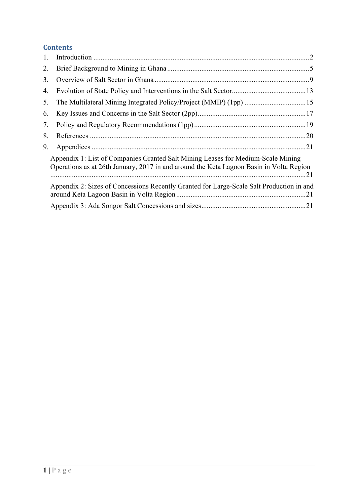# **Contents**

| 1. |                                                                                                                                                                             |  |  |  |  |  |
|----|-----------------------------------------------------------------------------------------------------------------------------------------------------------------------------|--|--|--|--|--|
| 2. |                                                                                                                                                                             |  |  |  |  |  |
| 3. |                                                                                                                                                                             |  |  |  |  |  |
| 4. |                                                                                                                                                                             |  |  |  |  |  |
| 5. |                                                                                                                                                                             |  |  |  |  |  |
| 6. |                                                                                                                                                                             |  |  |  |  |  |
| 7. |                                                                                                                                                                             |  |  |  |  |  |
| 8. |                                                                                                                                                                             |  |  |  |  |  |
| 9. |                                                                                                                                                                             |  |  |  |  |  |
|    | Appendix 1: List of Companies Granted Salt Mining Leases for Medium-Scale Mining<br>Operations as at 26th January, 2017 in and around the Keta Lagoon Basin in Volta Region |  |  |  |  |  |
|    | Appendix 2: Sizes of Concessions Recently Granted for Large-Scale Salt Production in and                                                                                    |  |  |  |  |  |
|    |                                                                                                                                                                             |  |  |  |  |  |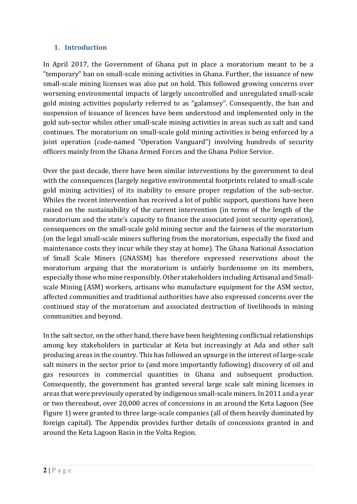## **1. Introduction**

In April 2017, the Government of Ghana put in place a moratorium meant to be a "temporary" ban on small-scale mining activities in Ghana. Further, the issuance of new small-scale mining licenses was also put on hold. This followed growing concerns over worsening environmental impacts of largely uncontrolled and unregulated small-scale gold mining activities popularly referred to as "galamsey". Consequently, the ban and suspension of issuance of licences have been understood and implemented only in the gold sub-sector whiles other small-scale mining activities in areas such as salt and sand continues. The moratorium on small-scale gold mining activities is being enforced by a joint operation (code-named "Operation Vanguard") involving hundreds of security officers mainly from the Ghana Armed Forces and the Ghana Police Service.

Over the past decade, there have been similar interventions by the government to deal with the consequences (largely negative environmental footprints related to small-scale gold mining activities) of its inability to ensure proper regulation of the sub-sector. Whiles the recent intervention has received a lot of public support, questions have been raised on the sustainability of the current intervention (in terms of the length of the moratorium and the state's capacity to finance the associated joint security operation), consequences on the small-scale gold mining sector and the fairness of the moratorium (on the legal small-scale miners suffering from the moratorium, especially the fixed and maintenance costs they incur while they stay at home). The Ghana National Association of Small Scale Miners (GNASSM) has therefore expressed reservations about the moratorium arguing that the moratorium is unfairly burdensome on its members, especially those who mine responsibly. Other stakeholders including Artisanal and Smallscale Mining (ASM) workers, artisans who manufacture equipment for the ASM sector, affected communities and traditional authorities have also expressed concerns over the continued stay of the moratorium and associated destruction of livelihoods in mining communities and beyond.

In the salt sector, on the other hand, there have been heightening conflictual relationships among key stakeholders in particular at Keta but increasingly at Ada and other salt producing areas in the country. This has followed an upsurge in the interest of large-scale salt miners in the sector prior to (and more importantly following) discovery of oil and gas resources in commercial quantities in Ghana and subsequent production. Consequently, the government has granted several large scale salt mining licenses in areas that were previously operated by indigenous small-scale miners. In 2011 and a year or two thereabout, over 20,000 acres of concessions in an around the Keta Lagoon (See Figure 1) were granted to three large-scale companies (all of them heavily dominated by foreign capital). The Appendix provides further details of concessions granted in and around the Keta Lagoon Basin in the Volta Region.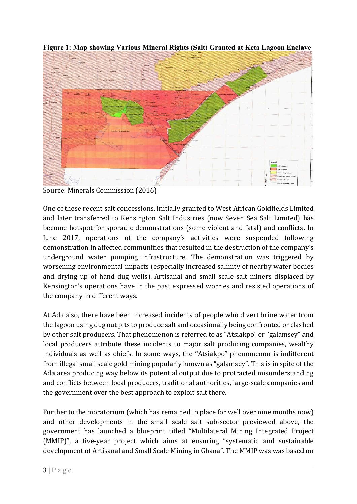

**Figure 1: Map showing Various Mineral Rights (Salt) Granted at Keta Lagoon Enclave** 

Source: Minerals Commission (2016)

One of these recent salt concessions, initially granted to West African Goldfields Limited and later transferred to Kensington Salt Industries (now Seven Sea Salt Limited) has become hotspot for sporadic demonstrations (some violent and fatal) and conflicts. In June 2017, operations of the company's activities were suspended following demonstration in affected communities that resulted in the destruction of the company's underground water pumping infrastructure. The demonstration was triggered by worsening environmental impacts (especially increased salinity of nearby water bodies and drying up of hand dug wells). Artisanal and small scale salt miners displaced by Kensington's operations have in the past expressed worries and resisted operations of the company in different ways.

At Ada also, there have been increased incidents of people who divert brine water from the lagoon using dug out pits to produce salt and occasionally being confronted or clashed by other salt producers. That phenomenon is referred to as "Atsiakpo" or "galamsey" and local producers attribute these incidents to major salt producing companies, wealthy individuals as well as chiefs. In some ways, the "Atsiakpo" phenomenon is indifferent from illegal small scale gold mining popularly known as "galamsey". This is in spite of the Ada area producing way below its potential output due to protracted misunderstanding and conflicts between local producers, traditional authorities, large-scale companies and the government over the best approach to exploit salt there.

Further to the moratorium (which has remained in place for well over nine months now) and other developments in the small scale salt sub-sector previewed above, the government has launched a blueprint titled "Multilateral Mining Integrated Project (MMIP)", a five-year project which aims at ensuring "systematic and sustainable development of Artisanal and Small Scale Mining in Ghana". The MMIP was was based on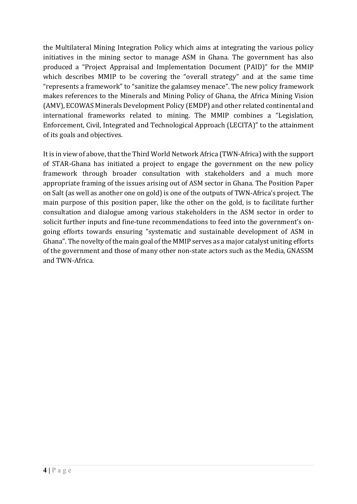the Multilateral Mining Integration Policy which aims at integrating the various policy initiatives in the mining sector to manage ASM in Ghana. The government has also produced a "Project Appraisal and Implementation Document (PAID)" for the MMIP which describes MMIP to be covering the "overall strategy" and at the same time "represents a framework" to "sanitize the galamsey menace". The new policy framework makes references to the Minerals and Mining Policy of Ghana, the Africa Mining Vision (AMV), ECOWAS Minerals Development Policy (EMDP) and other related continental and international frameworks related to mining. The MMIP combines a "Legislation, Enforcement, Civil, Integrated and Technological Approach (LECITA)" to the attainment of its goals and objectives.

It is in view of above, that the Third World Network Africa (TWN-Africa) with the support of STAR-Ghana has initiated a project to engage the government on the new policy framework through broader consultation with stakeholders and a much more appropriate framing of the issues arising out of ASM sector in Ghana. The Position Paper on Salt (as well as another one on gold) is one of the outputs of TWN-Africa's project. The main purpose of this position paper, like the other on the gold, is to facilitate further consultation and dialogue among various stakeholders in the ASM sector in order to solicit further inputs and fine-tune recommendations to feed into the government's ongoing efforts towards ensuring "systematic and sustainable development of ASM in Ghana". The novelty of the main goal of the MMIP serves as a major catalyst uniting efforts of the government and those of many other non-state actors such as the Media, GNASSM and TWN-Africa.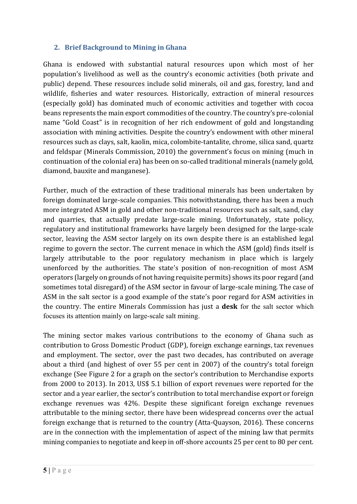#### **2. Brief Background to Mining in Ghana**

Ghana is endowed with substantial natural resources upon which most of her population's livelihood as well as the country's economic activities (both private and public) depend. These resources include solid minerals, oil and gas, forestry, land and wildlife, fisheries and water resources. Historically, extraction of mineral resources (especially gold) has dominated much of economic activities and together with cocoa beans represents the main export commodities of the country. The country's pre-colonial name "Gold Coast" is in recognition of her rich endowment of gold and longstanding association with mining activities. Despite the country's endowment with other mineral resources such as clays, salt, kaolin, mica, colombite-tantalite, chrome, silica sand, quartz and feldspar (Minerals Commission, 2010) the government's focus on mining (much in continuation of the colonial era) has been on so-called traditional minerals (namely gold, diamond, bauxite and manganese).

Further, much of the extraction of these traditional minerals has been undertaken by foreign dominated large-scale companies. This notwithstanding, there has been a much more integrated ASM in gold and other non-traditional resources such as salt, sand, clay and quarries, that actually predate large-scale mining. Unfortunately, state policy, regulatory and institutional frameworks have largely been designed for the large-scale sector, leaving the ASM sector largely on its own despite there is an established legal regime to govern the sector. The current menace in which the ASM (gold) finds itself is largely attributable to the poor regulatory mechanism in place which is largely unenforced by the authorities. The state's position of non-recognition of most ASM operators (largely on grounds of not having requisite permits) shows its poor regard (and sometimes total disregard) of the ASM sector in favour of large-scale mining. The case of ASM in the salt sector is a good example of the state's poor regard for ASM activities in the country. The entire Minerals Commission has just a **desk** for the salt sector which focuses its attention mainly on large-scale salt mining.

The mining sector makes various contributions to the economy of Ghana such as contribution to Gross Domestic Product (GDP), foreign exchange earnings, tax revenues and employment. The sector, over the past two decades, has contributed on average about a third (and highest of over 55 per cent in 2007) of the country's total foreign exchange (See Figure 2 for a graph on the sector's contribution to Merchandise exports from 2000 to 2013). In 2013, US\$ 5.1 billion of export revenues were reported for the sector and a year earlier, the sector's contribution to total merchandise export or foreign exchange revenues was 42%. Despite these significant foreign exchange revenues attributable to the mining sector, there have been widespread concerns over the actual foreign exchange that is returned to the country (Atta-Quayson, 2016). These concerns are in the connection with the implementation of aspect of the mining law that permits mining companies to negotiate and keep in off-shore accounts 25 per cent to 80 per cent.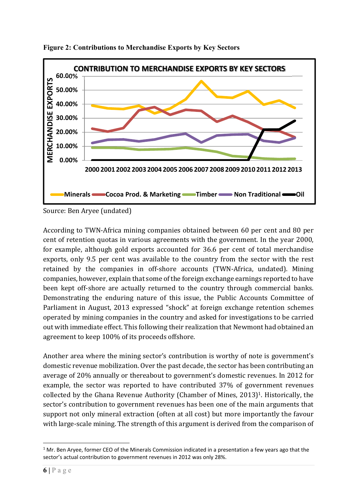

**Figure 2: Contributions to Merchandise Exports by Key Sectors** 

Source: Ben Aryee (undated)

According to TWN-Africa mining companies obtained between 60 per cent and 80 per cent of retention quotas in various agreements with the government. In the year 2000, for example, although gold exports accounted for 36.6 per cent of total merchandise exports, only 9.5 per cent was available to the country from the sector with the rest retained by the companies in off-shore accounts (TWN-Africa, undated). Mining companies, however, explain that some of the foreign exchange earnings reported to have been kept off-shore are actually returned to the country through commercial banks. Demonstrating the enduring nature of this issue, the Public Accounts Committee of Parliament in August, 2013 expressed "shock" at foreign exchange retention schemes operated by mining companies in the country and asked for investigations to be carried out with immediate effect. This following their realization that Newmont had obtained an agreement to keep 100% of its proceeds offshore.

Another area where the mining sector's contribution is worthy of note is government's domestic revenue mobilization. Over the past decade, the sector has been contributing an average of 20% annually or thereabout to government's domestic revenues. In 2012 for example, the sector was reported to have contributed 37% of government revenues collected by the Ghana Revenue Authority (Chamber of Mines, 2013)1. Historically, the sector's contribution to government revenues has been one of the main arguments that support not only mineral extraction (often at all cost) but more importantly the favour with large-scale mining. The strength of this argument is derived from the comparison of

<sup>1</sup> <sup>1</sup> Mr. Ben Aryee, former CEO of the Minerals Commission indicated in a presentation a few years ago that the sector's actual contribution to government revenues in 2012 was only 28%.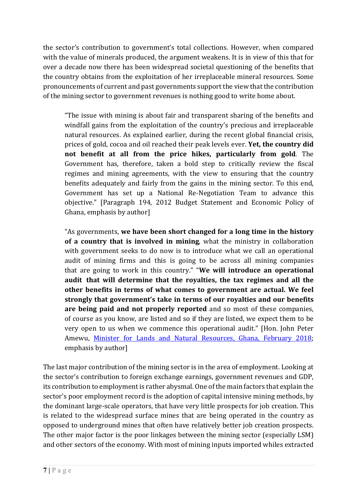the sector's contribution to government's total collections. However, when compared with the value of minerals produced, the argument weakens. It is in view of this that for over a decade now there has been widespread societal questioning of the benefits that the country obtains from the exploitation of her irreplaceable mineral resources. Some pronouncements of current and past governments support the view that the contribution of the mining sector to government revenues is nothing good to write home about.

 "The issue with mining is about fair and transparent sharing of the benefits and windfall gains from the exploitation of the country's precious and irreplaceable natural resources. As explained earlier, during the recent global financial crisis, prices of gold, cocoa and oil reached their peak levels ever. **Yet, the country did not benefit at all from the price hikes, particularly from gold**. The Government has, therefore, taken a bold step to critically review the fiscal regimes and mining agreements, with the view to ensuring that the country benefits adequately and fairly from the gains in the mining sector. To this end, Government has set up a National Re-Negotiation Team to advance this objective." [Paragraph 194, 2012 Budget Statement and Economic Policy of Ghana, emphasis by author]

"As governments, **we have been short changed for a long time in the history of a country that is involved in mining**, what the ministry in collaboration with government seeks to do now is to introduce what we call an operational audit of mining firms and this is going to be across all mining companies that are going to work in this country." "**We will introduce an operational audit that will determine that the royalties, the tax regimes and all the other benefits in terms of what comes to government are actual. We feel strongly that government's take in terms of our royalties and our benefits are being paid and not properly reported** and so most of these companies, of course as you know, are listed and so if they are listed, we expect them to be very open to us when we commence this operational audit." [Hon. John Peter Amewu, Minister for Lands and Natural Resources, Ghana, February 2018; emphasis by author]

The last major contribution of the mining sector is in the area of employment. Looking at the sector's contribution to foreign exchange earnings, government revenues and GDP, its contribution to employment is rather abysmal. One of the main factors that explain the sector's poor employment record is the adoption of capital intensive mining methods, by the dominant large-scale operators, that have very little prospects for job creation. This is related to the widespread surface mines that are being operated in the country as opposed to underground mines that often have relatively better job creation prospects. The other major factor is the poor linkages between the mining sector (especially LSM) and other sectors of the economy. With most of mining inputs imported whiles extracted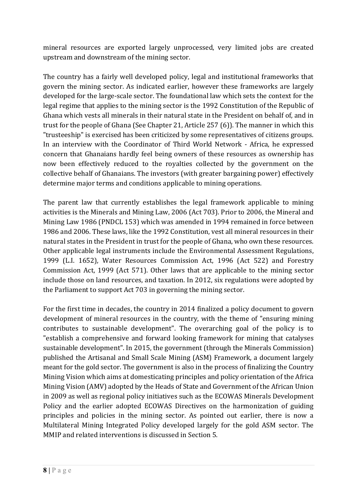mineral resources are exported largely unprocessed, very limited jobs are created upstream and downstream of the mining sector.

The country has a fairly well developed policy, legal and institutional frameworks that govern the mining sector. As indicated earlier, however these frameworks are largely developed for the large-scale sector. The foundational law which sets the context for the legal regime that applies to the mining sector is the 1992 Constitution of the Republic of Ghana which vests all minerals in their natural state in the President on behalf of, and in trust for the people of Ghana (See Chapter 21, Article 257 (6)). The manner in which this "trusteeship" is exercised has been criticized by some representatives of citizens groups. In an interview with the Coordinator of Third World Network - Africa, he expressed concern that Ghanaians hardly feel being owners of these resources as ownership has now been effectively reduced to the royalties collected by the government on the collective behalf of Ghanaians. The investors (with greater bargaining power) effectively determine major terms and conditions applicable to mining operations.

The parent law that currently establishes the legal framework applicable to mining activities is the Minerals and Mining Law, 2006 (Act 703). Prior to 2006, the Mineral and Mining Law 1986 (PNDCL 153) which was amended in 1994 remained in force between 1986 and 2006. These laws, like the 1992 Constitution, vest all mineral resources in their natural states in the President in trust for the people of Ghana, who own these resources. Other applicable legal instruments include the Environmental Assessment Regulations, 1999 (L.I. 1652), Water Resources Commission Act, 1996 (Act 522) and Forestry Commission Act, 1999 (Act 571). Other laws that are applicable to the mining sector include those on land resources, and taxation. In 2012, six regulations were adopted by the Parliament to support Act 703 in governing the mining sector.

For the first time in decades, the country in 2014 finalized a policy document to govern development of mineral resources in the country, with the theme of "ensuring mining contributes to sustainable development". The overarching goal of the policy is to "establish a comprehensive and forward looking framework for mining that catalyses sustainable development". In 2015, the government (through the Minerals Commission) published the Artisanal and Small Scale Mining (ASM) Framework, a document largely meant for the gold sector. The government is also in the process of finalizing the Country Mining Vision which aims at domesticating principles and policy orientation of the Africa Mining Vision (AMV) adopted by the Heads of State and Government of the African Union in 2009 as well as regional policy initiatives such as the ECOWAS Minerals Development Policy and the earlier adopted ECOWAS Directives on the harmonization of guiding principles and policies in the mining sector. As pointed out earlier, there is now a Multilateral Mining Integrated Policy developed largely for the gold ASM sector. The MMIP and related interventions is discussed in Section 5.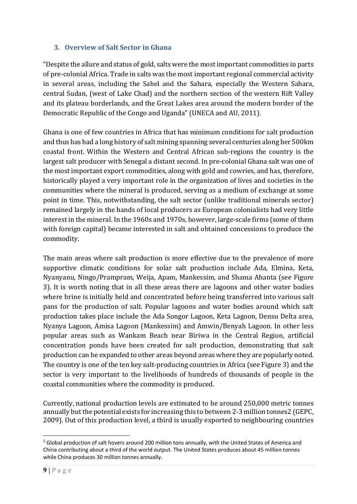# **3. Overview of Salt Sector in Ghana**

"Despite the allure and status of gold, salts were the most important commodities in parts of pre-colonial Africa. Trade in salts was the most important regional commercial activity in several areas, including the Sahel and the Sahara, especially the Western Sahara, central Sudan, (west of Lake Chad) and the northern section of the western Rift Valley and its plateau borderlands, and the Great Lakes area around the modern border of the Democratic Republic of the Congo and Uganda" (UNECA and AU, 2011).

Ghana is one of few countries in Africa that has minimum conditions for salt production and thus has had a long history of salt mining spanning several centuries along her 500km coastal front. Within the Western and Central African sub-regions the country is the largest salt producer with Senegal a distant second. In pre-colonial Ghana salt was one of the most important export commodities, along with gold and cowries, and has, therefore, historically played a very important role in the organization of lives and societies in the communities where the mineral is produced, serving as a medium of exchange at some point in time. This, notwithstanding, the salt sector (unlike traditional minerals sector) remained largely in the hands of local producers as European colonialists had very little interest in the mineral. In the 1960s and 1970s, however, large-scale firms (some of them with foreign capital) became interested in salt and obtained concessions to produce the commodity.

The main areas where salt production is more effective due to the prevalence of more supportive climatic conditions for solar salt production include Ada, Elmina, Keta, Nyanyanu, Ningo/Prampram, Weija, Apam, Mankessim, and Shama Ahanta (see Figure 3). It is worth noting that in all these areas there are lagoons and other water bodies where brine is initially held and concentrated before being transferred into various salt pans for the production of salt. Popular lagoons and water bodies around which salt production takes place include the Ada Songor Lagoon, Keta Lagoon, Densu Delta area, Nyanya Lagoon, Amisa Lagoon (Mankessim) and Amwin/Benyah Lagoon. In other less popular areas such as Wankam Beach near Biriwa in the Central Region, artificial concentration ponds have been created for salt production, demonstrating that salt production can be expanded to other areas beyond areas where they are popularly noted. The country is one of the ten key salt-producing countries in Africa (see Figure 3) and the sector is very important to the livelihoods of hundreds of thousands of people in the coastal communities where the commodity is produced.

Currently, national production levels are estimated to be around 250,000 metric tonnes annually but the potential exists for increasing this to between 2-3 million tonnes2 (GEPC, 2009). Out of this production level, a third is usually exported to neighbouring countries

1

<sup>&</sup>lt;sup>2</sup> Global production of salt hovers around 200 million tons annually, with the United States of America and China contributing about a third of the world output. The United States produces about 45 million tonnes while China produces 30 million tonnes annually.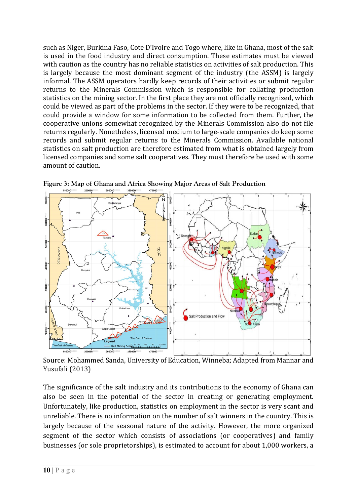such as Niger, Burkina Faso, Cote D'Ivoire and Togo where, like in Ghana, most of the salt is used in the food industry and direct consumption. These estimates must be viewed with caution as the country has no reliable statistics on activities of salt production. This is largely because the most dominant segment of the industry (the ASSM) is largely informal. The ASSM operators hardly keep records of their activities or submit regular returns to the Minerals Commission which is responsible for collating production statistics on the mining sector. In the first place they are not officially recognized, which could be viewed as part of the problems in the sector. If they were to be recognized, that could provide a window for some information to be collected from them. Further, the cooperative unions somewhat recognized by the Minerals Commission also do not file returns regularly. Nonetheless, licensed medium to large-scale companies do keep some records and submit regular returns to the Minerals Commission. Available national statistics on salt production are therefore estimated from what is obtained largely from licensed companies and some salt cooperatives. They must therefore be used with some amount of caution.



**Figure 3: Map of Ghana and Africa Showing Major Areas of Salt Production** 

Source: Mohammed Sanda, University of Education, Winneba; Adapted from Mannar and Yusufali (2013)

The significance of the salt industry and its contributions to the economy of Ghana can also be seen in the potential of the sector in creating or generating employment. Unfortunately, like production, statistics on employment in the sector is very scant and unreliable. There is no information on the number of salt winners in the country. This is largely because of the seasonal nature of the activity. However, the more organized segment of the sector which consists of associations (or cooperatives) and family businesses (or sole proprietorships), is estimated to account for about 1,000 workers, a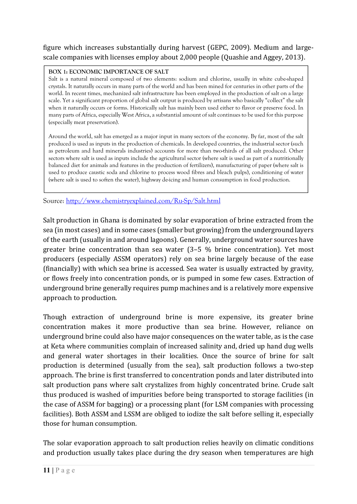figure which increases substantially during harvest (GEPC, 2009). Medium and largescale companies with licenses employ about 2,000 people (Quashie and Aggey, 2013).

#### **BOX 1: ECONOMIC IMPORTANCE OF SALT**

Salt is a natural mineral composed of two elements: sodium and chlorine, usually in white cube-shaped crystals. It naturally occurs in many parts of the world and has been mined for centuries in other parts of the world. In recent times, mechanized salt infrastructure has been employed in the production of salt on a large scale. Yet a significant proportion of global salt output is produced by artisans who basically "collect" the salt when it naturally occurs or forms. Historically salt has mainly been used either to flavor or preserve food. In many parts of Africa, especially West Africa, a substantial amount of salt continues to be used for this purpose (especially meat preservation).

Around the world, salt has emerged as a major input in many sectors of the economy. By far, most of the salt produced is used as inputs in the production of chemicals. In developed countries, the industrial sector (such as petroleum and hard minerals industries) accounts for more than two-thirds of all salt produced. Other sectors where salt is used as inputs include the agricultural sector (where salt is used as part of a nutritionally balanced diet for animals and features in the production of fertilizers), manufacturing of paper (where salt is used to produce caustic soda and chlorine to process wood fibres and bleach pulps), conditioning of water (where salt is used to soften the water), highway de-icing and human consumption in food production.

Source: http://www.chemistryexplained.com/Ru-Sp/Salt.html

Salt production in Ghana is dominated by solar evaporation of brine extracted from the sea (in most cases) and in some cases (smaller but growing) from the underground layers of the earth (usually in and around lagoons). Generally, underground water sources have greater brine concentration than sea water (3–5 % brine concentration). Yet most producers (especially ASSM operators) rely on sea brine largely because of the ease (financially) with which sea brine is accessed. Sea water is usually extracted by gravity, or flows freely into concentration ponds, or is pumped in some few cases. Extraction of underground brine generally requires pump machines and is a relatively more expensive approach to production.

Though extraction of underground brine is more expensive, its greater brine concentration makes it more productive than sea brine. However, reliance on underground brine could also have major consequences on the water table, as is the case at Keta where communities complain of increased salinity and, dried up hand dug wells and general water shortages in their localities. Once the source of brine for salt production is determined (usually from the sea), salt production follows a two-step approach. The brine is first transferred to concentration ponds and later distributed into salt production pans where salt crystalizes from highly concentrated brine. Crude salt thus produced is washed of impurities before being transported to storage facilities (in the case of ASSM for bagging) or a processing plant (for LSM companies with processing facilities). Both ASSM and LSSM are obliged to iodize the salt before selling it, especially those for human consumption.

The solar evaporation approach to salt production relies heavily on climatic conditions and production usually takes place during the dry season when temperatures are high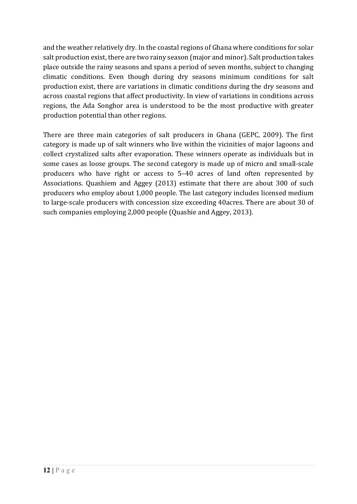and the weather relatively dry. In the coastal regions of Ghana where conditions for solar salt production exist, there are two rainy season (major and minor). Salt production takes place outside the rainy seasons and spans a period of seven months, subject to changing climatic conditions. Even though during dry seasons minimum conditions for salt production exist, there are variations in climatic conditions during the dry seasons and across coastal regions that affect productivity. In view of variations in conditions across regions, the Ada Songhor area is understood to be the most productive with greater production potential than other regions.

There are three main categories of salt producers in Ghana (GEPC, 2009). The first category is made up of salt winners who live within the vicinities of major lagoons and collect crystalized salts after evaporation. These winners operate as individuals but in some cases as loose groups. The second category is made up of micro and small-scale producers who have right or access to 5–40 acres of land often represented by Associations. Quashiem and Aggey (2013) estimate that there are about 300 of such producers who employ about 1,000 people. The last category includes licensed medium to large-scale producers with concession size exceeding 40acres. There are about 30 of such companies employing 2,000 people (Quashie and Aggey, 2013).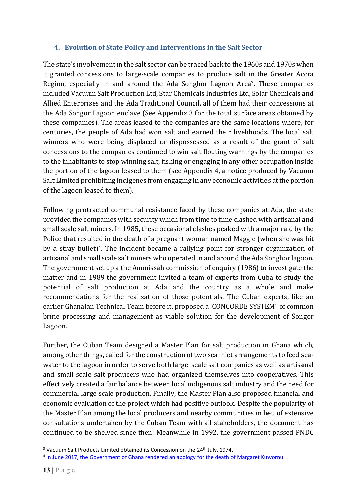### **4. Evolution of State Policy and Interventions in the Salt Sector**

The state's involvement in the salt sector can be traced back to the 1960s and 1970s when it granted concessions to large-scale companies to produce salt in the Greater Accra Region, especially in and around the Ada Songhor Lagoon Area3. These companies included Vacuum Salt Production Ltd, Star Chemicals Industries Ltd, Solar Chemicals and Allied Enterprises and the Ada Traditional Council, all of them had their concessions at the Ada Songor Lagoon enclave (See Appendix 3 for the total surface areas obtained by these companies). The areas leased to the companies are the same locations where, for centuries, the people of Ada had won salt and earned their livelihoods. The local salt winners who were being displaced or dispossessed as a result of the grant of salt concessions to the companies continued to win salt flouting warnings by the companies to the inhabitants to stop winning salt, fishing or engaging in any other occupation inside the portion of the lagoon leased to them (see Appendix 4, a notice produced by Vacuum Salt Limited prohibiting indigenes from engaging in any economic activities at the portion of the lagoon leased to them).

Following protracted communal resistance faced by these companies at Ada, the state provided the companies with security which from time to time clashed with artisanal and small scale salt miners. In 1985, these occasional clashes peaked with a major raid by the Police that resulted in the death of a pregnant woman named Maggie (when she was hit by a stray bullet)4. The incident became a rallying point for stronger organization of artisanal and small scale salt miners who operated in and around the Ada Songhor lagoon. The government set up a the Ammissah commission of enquiry (1986) to investigate the matter and in 1989 the government invited a team of experts from Cuba to study the potential of salt production at Ada and the country as a whole and make recommendations for the realization of those potentials. The Cuban experts, like an earlier Ghanaian Technical Team before it, proposed a 'CONCORDE SYSTEM" of common brine processing and management as viable solution for the development of Songor Lagoon.

Further, the Cuban Team designed a Master Plan for salt production in Ghana which, among other things, called for the construction of two sea inlet arrangements to feed seawater to the lagoon in order to serve both large scale salt companies as well as artisanal and small scale salt producers who had organized themselves into cooperatives. This effectively created a fair balance between local indigenous salt industry and the need for commercial large scale production. Finally, the Master Plan also proposed financial and economic evaluation of the project which had positive outlook. Despite the popularity of the Master Plan among the local producers and nearby communities in lieu of extensive consultations undertaken by the Cuban Team with all stakeholders, the document has continued to be shelved since then! Meanwhile in 1992, the government passed PNDC

1

<sup>&</sup>lt;sup>3</sup> Vacuum Salt Products Limited obtained its Concession on the 24<sup>th</sup> July, 1974.

<sup>4</sup> In June 2017, the Government of Ghana rendered an apology for the death of Margaret Kuwornu.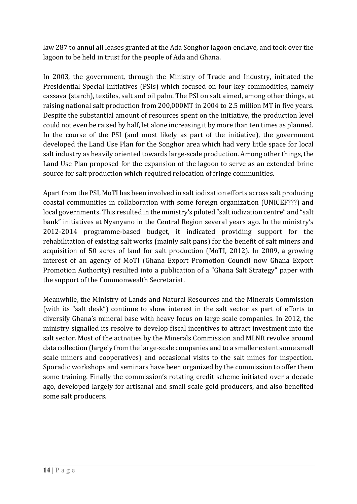law 287 to annul all leases granted at the Ada Songhor lagoon enclave, and took over the lagoon to be held in trust for the people of Ada and Ghana.

In 2003, the government, through the Ministry of Trade and Industry, initiated the Presidential Special Initiatives (PSIs) which focused on four key commodities, namely cassava (starch), textiles, salt and oil palm. The PSI on salt aimed, among other things, at raising national salt production from 200,000MT in 2004 to 2.5 million MT in five years. Despite the substantial amount of resources spent on the initiative, the production level could not even be raised by half, let alone increasing it by more than ten times as planned. In the course of the PSI (and most likely as part of the initiative), the government developed the Land Use Plan for the Songhor area which had very little space for local salt industry as heavily oriented towards large-scale production. Among other things, the Land Use Plan proposed for the expansion of the lagoon to serve as an extended brine source for salt production which required relocation of fringe communities.

Apart from the PSI, MoTI has been involved in salt iodization efforts across salt producing coastal communities in collaboration with some foreign organization (UNICEF???) and local governments. This resulted in the ministry's piloted "salt iodization centre" and "salt bank" initiatives at Nyanyano in the Central Region several years ago. In the ministry's 2012-2014 programme-based budget, it indicated providing support for the rehabilitation of existing salt works (mainly salt pans) for the benefit of salt miners and acquisition of 50 acres of land for salt production (MoTI, 2012). In 2009, a growing interest of an agency of MoTI (Ghana Export Promotion Council now Ghana Export Promotion Authority) resulted into a publication of a "Ghana Salt Strategy" paper with the support of the Commonwealth Secretariat.

Meanwhile, the Ministry of Lands and Natural Resources and the Minerals Commission (with its "salt desk") continue to show interest in the salt sector as part of efforts to diversify Ghana's mineral base with heavy focus on large scale companies. In 2012, the ministry signalled its resolve to develop fiscal incentives to attract investment into the salt sector. Most of the activities by the Minerals Commission and MLNR revolve around data collection (largely from the large-scale companies and to a smaller extent some small scale miners and cooperatives) and occasional visits to the salt mines for inspection. Sporadic workshops and seminars have been organized by the commission to offer them some training. Finally the commission's rotating credit scheme initiated over a decade ago, developed largely for artisanal and small scale gold producers, and also benefited some salt producers.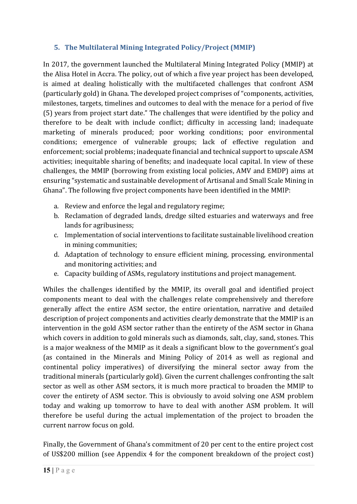# **5. The Multilateral Mining Integrated Policy/Project (MMIP)**

In 2017, the government launched the Multilateral Mining Integrated Policy (MMIP) at the Alisa Hotel in Accra. The policy, out of which a five year project has been developed, is aimed at dealing holistically with the multifaceted challenges that confront ASM (particularly gold) in Ghana. The developed project comprises of "components, activities, milestones, targets, timelines and outcomes to deal with the menace for a period of five (5) years from project start date." The challenges that were identified by the policy and therefore to be dealt with include conflict; difficulty in accessing land; inadequate marketing of minerals produced; poor working conditions; poor environmental conditions; emergence of vulnerable groups; lack of effective regulation and enforcement; social problems; inadequate financial and technical support to upscale ASM activities; inequitable sharing of benefits; and inadequate local capital. In view of these challenges, the MMIP (borrowing from existing local policies, AMV and EMDP) aims at ensuring "systematic and sustainable development of Artisanal and Small Scale Mining in Ghana". The following five project components have been identified in the MMIP:

- a. Review and enforce the legal and regulatory regime;
- b. Reclamation of degraded lands, dredge silted estuaries and waterways and free lands for agribusiness;
- c. Implementation of social interventions to facilitate sustainable livelihood creation in mining communities;
- d. Adaptation of technology to ensure efficient mining, processing, environmental and monitoring activities; and
- e. Capacity building of ASMs, regulatory institutions and project management.

Whiles the challenges identified by the MMIP, its overall goal and identified project components meant to deal with the challenges relate comprehensively and therefore generally affect the entire ASM sector, the entire orientation, narrative and detailed description of project components and activities clearly demonstrate that the MMIP is an intervention in the gold ASM sector rather than the entirety of the ASM sector in Ghana which covers in addition to gold minerals such as diamonds, salt, clay, sand, stones. This is a major weakness of the MMIP as it deals a significant blow to the government's goal (as contained in the Minerals and Mining Policy of 2014 as well as regional and continental policy imperatives) of diversifying the mineral sector away from the traditional minerals (particularly gold). Given the current challenges confronting the salt sector as well as other ASM sectors, it is much more practical to broaden the MMIP to cover the entirety of ASM sector. This is obviously to avoid solving one ASM problem today and waking up tomorrow to have to deal with another ASM problem. It will therefore be useful during the actual implementation of the project to broaden the current narrow focus on gold.

Finally, the Government of Ghana's commitment of 20 per cent to the entire project cost of US\$200 million (see Appendix 4 for the component breakdown of the project cost)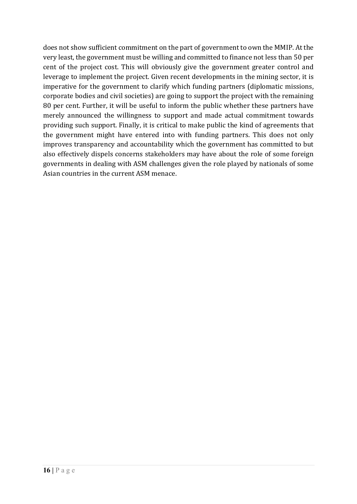does not show sufficient commitment on the part of government to own the MMIP. At the very least, the government must be willing and committed to finance not less than 50 per cent of the project cost. This will obviously give the government greater control and leverage to implement the project. Given recent developments in the mining sector, it is imperative for the government to clarify which funding partners (diplomatic missions, corporate bodies and civil societies) are going to support the project with the remaining 80 per cent. Further, it will be useful to inform the public whether these partners have merely announced the willingness to support and made actual commitment towards providing such support. Finally, it is critical to make public the kind of agreements that the government might have entered into with funding partners. This does not only improves transparency and accountability which the government has committed to but also effectively dispels concerns stakeholders may have about the role of some foreign governments in dealing with ASM challenges given the role played by nationals of some Asian countries in the current ASM menace.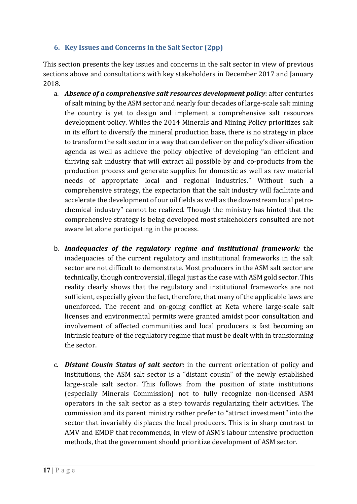# **6. Key Issues and Concerns in the Salt Sector (2pp)**

This section presents the key issues and concerns in the salt sector in view of previous sections above and consultations with key stakeholders in December 2017 and January 2018.

- a. *Absence of a comprehensive salt resources development policy*: after centuries of salt mining by the ASM sector and nearly four decades of large-scale salt mining the country is yet to design and implement a comprehensive salt resources development policy. Whiles the 2014 Minerals and Mining Policy prioritizes salt in its effort to diversify the mineral production base, there is no strategy in place to transform the salt sector in a way that can deliver on the policy's diversification agenda as well as achieve the policy objective of developing "an efficient and thriving salt industry that will extract all possible by and co-products from the production process and generate supplies for domestic as well as raw material needs of appropriate local and regional industries." Without such a comprehensive strategy, the expectation that the salt industry will facilitate and accelerate the development of our oil fields as well as the downstream local petrochemical industry" cannot be realized. Though the ministry has hinted that the comprehensive strategy is being developed most stakeholders consulted are not aware let alone participating in the process.
- b. *Inadequacies of the regulatory regime and institutional framework:* the inadequacies of the current regulatory and institutional frameworks in the salt sector are not difficult to demonstrate. Most producers in the ASM salt sector are technically, though controversial, illegal just as the case with ASM gold sector. This reality clearly shows that the regulatory and institutional frameworks are not sufficient, especially given the fact, therefore, that many of the applicable laws are unenforced. The recent and on-going conflict at Keta where large-scale salt licenses and environmental permits were granted amidst poor consultation and involvement of affected communities and local producers is fast becoming an intrinsic feature of the regulatory regime that must be dealt with in transforming the sector.
- c. *Distant Cousin Status of salt sector:* in the current orientation of policy and institutions, the ASM salt sector is a "distant cousin" of the newly established large-scale salt sector. This follows from the position of state institutions (especially Minerals Commission) not to fully recognize non-licensed ASM operators in the salt sector as a step towards regularizing their activities. The commission and its parent ministry rather prefer to "attract investment" into the sector that invariably displaces the local producers. This is in sharp contrast to AMV and EMDP that recommends, in view of ASM's labour intensive production methods, that the government should prioritize development of ASM sector.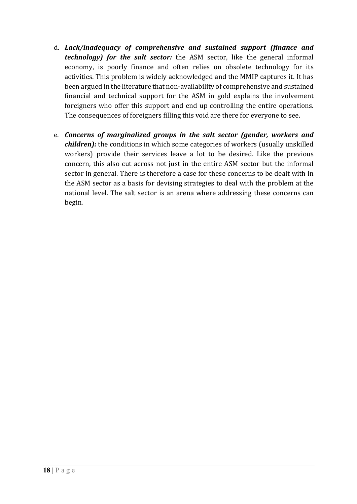- d. *Lack/inadequacy of comprehensive and sustained support (finance and technology) for the salt sector:* the ASM sector, like the general informal economy, is poorly finance and often relies on obsolete technology for its activities. This problem is widely acknowledged and the MMIP captures it. It has been argued in the literature that non-availability of comprehensive and sustained financial and technical support for the ASM in gold explains the involvement foreigners who offer this support and end up controlling the entire operations. The consequences of foreigners filling this void are there for everyone to see.
- e. *Concerns of marginalized groups in the salt sector (gender, workers and children):* the conditions in which some categories of workers (usually unskilled workers) provide their services leave a lot to be desired. Like the previous concern, this also cut across not just in the entire ASM sector but the informal sector in general. There is therefore a case for these concerns to be dealt with in the ASM sector as a basis for devising strategies to deal with the problem at the national level. The salt sector is an arena where addressing these concerns can begin.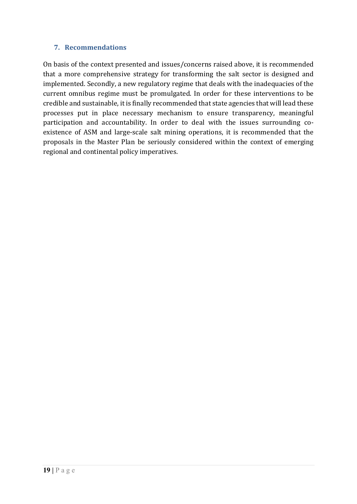#### **7. Recommendations**

On basis of the context presented and issues/concerns raised above, it is recommended that a more comprehensive strategy for transforming the salt sector is designed and implemented. Secondly, a new regulatory regime that deals with the inadequacies of the current omnibus regime must be promulgated. In order for these interventions to be credible and sustainable, it is finally recommended that state agencies that will lead these processes put in place necessary mechanism to ensure transparency, meaningful participation and accountability. In order to deal with the issues surrounding coexistence of ASM and large-scale salt mining operations, it is recommended that the proposals in the Master Plan be seriously considered within the context of emerging regional and continental policy imperatives.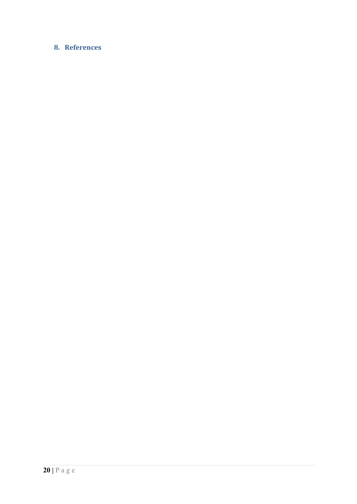# 8. References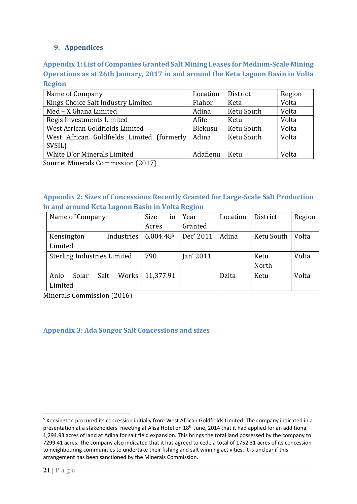# **9. Appendices**

**Appendix 1: List of Companies Granted Salt Mining Leases for Medium‐Scale Mining Operations as at 26th January, 2017 in and around the Keta Lagoon Basin in Volta Region**

| Name of Company                           | Location | District   | Region |
|-------------------------------------------|----------|------------|--------|
| Kings Choice Salt Industry Limited        | Fiahor   | Keta       | Volta  |
| Med - X Ghana Limited                     | Adina    | Ketu South | Volta  |
| Regis Investments Limited                 | Afife    | Ketu       | Volta  |
| West African Goldfields Limited           | Blekusu  | Ketu South | Volta  |
| West African Goldfields Limited (formerly | Adina    | Ketu South | Volta  |
| SVSIL)                                    |          |            |        |
| White D'or Minerals Limited               | Adafienu | Ketu       | Volta  |

Source: Minerals Commission (2017)

# **Appendix 2: Sizes of Concessions Recently Granted for Large‐Scale Salt Production in and around Keta Lagoon Basin in Volta Region**

| Name of Company                    | Size<br>ın | Year      | Location | District   | Region |
|------------------------------------|------------|-----------|----------|------------|--------|
|                                    | Acres      | Granted   |          |            |        |
| Industries<br>Kensington           | 6,004.485  | Dec' 2011 | Adina    | Ketu South | Volta  |
| Limited                            |            |           |          |            |        |
| <b>Sterling Industries Limited</b> | 790        | Jan' 2011 |          | Ketu       | Volta  |
|                                    |            |           |          | North      |        |
| Salt<br>Works<br>Anlo<br>Solar     | 11,377.91  |           | Dzita    | Ketu       | Volta  |
| Limited                            |            |           |          |            |        |

Minerals Commission (2016)

**Appendix 3: Ada Songor Salt Concessions and sizes**

1

<sup>&</sup>lt;sup>5</sup> Kensington procured its concession initially from West African Goldfields Limited. The company indicated in a presentation at a stakeholders' meeting at Alisa Hotel on 18<sup>th</sup> June, 2014 that it had applied for an additional 1,294.93 acres of land at Adina for salt field expansion. This brings the total land possessed by the company to 7299.41 acres. The company also indicated that it has agreed to cede a total of 1752.31 acres of its concession to neighbouring communities to undertake their fishing and salt winning activities. It is unclear if this arrangement has been sanctioned by the Minerals Commission.